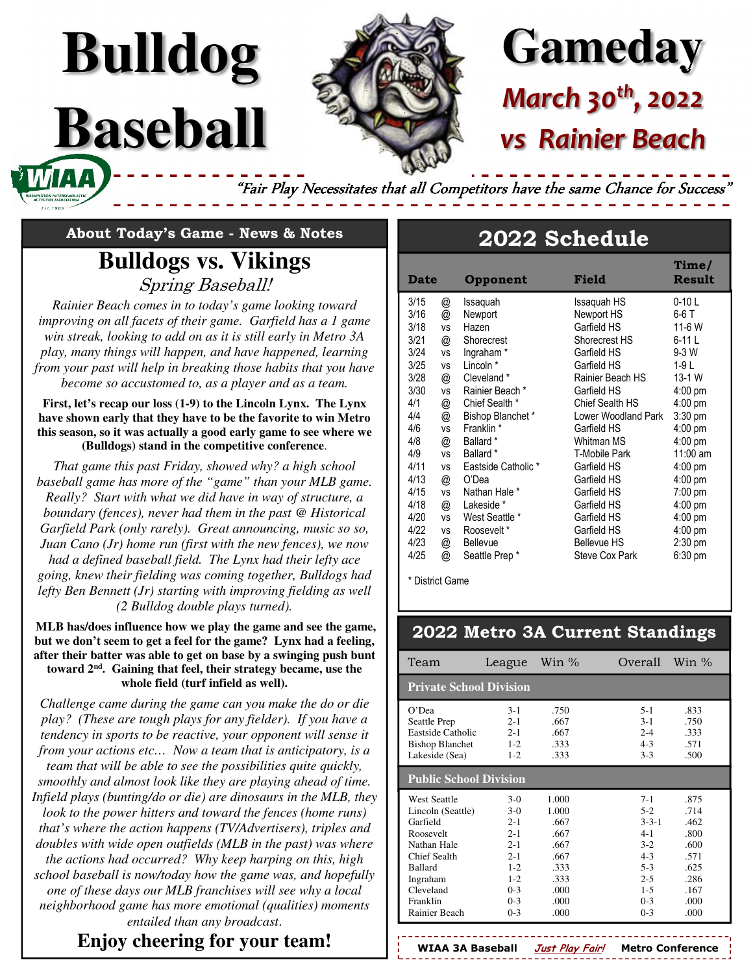# **Gameday** *March 30th, 2022*  **Rainier Beach**

"Fair Play Necessitates that all Competitors have the same Chance for Success'

**About Today's Game - News & Notes** 

**Bulldog**

**Baseball** 

# **Bulldogs vs. Vikings**  Spring Baseball!

*Rainier Beach comes in to today's game looking toward improving on all facets of their game. Garfield has a 1 game win streak, looking to add on as it is still early in Metro 3A play, many things will happen, and have happened, learning from your past will help in breaking those habits that you have become so accustomed to, as a player and as a team.*

#### **First, let's recap our loss (1-9) to the Lincoln Lynx. The Lynx have shown early that they have to be the favorite to win Metro this season, so it was actually a good early game to see where we (Bulldogs) stand in the competitive conference**.

*That game this past Friday, showed why? a high school baseball game has more of the "game" than your MLB game. Really? Start with what we did have in way of structure, a boundary (fences), never had them in the past @ Historical Garfield Park (only rarely). Great announcing, music so so, Juan Cano (Jr) home run (first with the new fences), we now had a defined baseball field. The Lynx had their lefty ace going, knew their fielding was coming together, Bulldogs had lefty Ben Bennett (Jr) starting with improving fielding as well (2 Bulldog double plays turned).* 

 **MLB has/does influence how we play the game and see the game, but we don't seem to get a feel for the game? Lynx had a feeling, after their batter was able to get on base by a swinging push bunt toward 2nd. Gaining that feel, their strategy became, use the whole field (turf infield as well).** 

*Challenge came during the game can you make the do or die play? (These are tough plays for any fielder). If you have a tendency in sports to be reactive, your opponent will sense it from your actions etc… Now a team that is anticipatory, is a team that will be able to see the possibilities quite quickly, smoothly and almost look like they are playing ahead of time. Infield plays (bunting/do or die) are dinosaurs in the MLB, they look to the power hitters and toward the fences (home runs) that's where the action happens (TV/Advertisers), triples and doubles with wide open outfields (MLB in the past) was where the actions had occurred? Why keep harping on this, high school baseball is now/today how the game was, and hopefully one of these days our MLB franchises will see why a local neighborhood game has more emotional (qualities) moments entailed than any broadcast*.

## **Enjoy cheering for your team!**

# **2022 Schedule**

| <b>Date</b> |           | Opponent             | Field                | Time/<br><b>Result</b> |
|-------------|-----------|----------------------|----------------------|------------------------|
| 3/15        | @         | Issaquah             | Issaguah HS          | $0-10$ L               |
| 3/16        | @         | Newport              | Newport HS           | 6-6 T                  |
| 3/18        | vs        | Hazen                | Garfield HS          | 11-6 W                 |
| 3/21        | @         | Shorecrest           | Shorecrest HS        | 6-11 L                 |
| 3/24        | <b>VS</b> | Ingraham*            | Garfield HS          | $9-3$ W                |
| 3/25        | <b>VS</b> | Lincoln *            | Garfield HS          | 1-9 L                  |
| 3/28        | @         | Cleveland *          | Rainier Beach HS     | 13-1 W                 |
| 3/30        | <b>VS</b> | Rainier Beach *      | Garfield HS          | $4:00$ pm              |
| 4/1         | @         | Chief Sealth *       | Chief Sealth HS      | $4:00$ pm              |
| 4/4         | @         | Bishop Blanchet*     | Lower Woodland Park  | $3:30$ pm              |
| 4/6         | <b>VS</b> | Franklin *           | Garfield HS          | $4:00$ pm              |
| 4/8         | @         | Ballard <sup>*</sup> | Whitman MS           | $4:00 \text{ pm}$      |
| 4/9         | <b>VS</b> | Ballard *            | <b>T-Mobile Park</b> | 11:00 am               |
| 4/11        | <b>VS</b> | Eastside Catholic *  | Garfield HS          | $4:00 \text{ pm}$      |
| 4/13        | @         | O'Dea                | Garfield HS          | $4:00 \text{ pm}$      |
| 4/15        | vs        | Nathan Hale *        | Garfield HS          | $7:00 \text{ pm}$      |
| 4/18        | @         | Lakeside *           | Garfield HS          | $4:00$ pm              |
| 4/20        | <b>VS</b> | West Seattle *       | Garfield HS          | $4:00$ pm              |
| 4/22        | <b>VS</b> | Roosevelt*           | Garfield HS          | $4:00 \text{ pm}$      |
| 4/23        | @         | <b>Bellevue</b>      | <b>Bellevue HS</b>   | $2:30$ pm              |
| 4/25        | @         | Seattle Prep*        | Steve Cox Park       | $6:30 \text{ pm}$      |

\* District Game

### **2022 Metro 3A Current Standings**

| Team                                                                                                                                                                     | League                                                                                                            | Win $\%$                                                                               | Overall                                                                                                             | Win $\%$                                                                             |  |  |  |
|--------------------------------------------------------------------------------------------------------------------------------------------------------------------------|-------------------------------------------------------------------------------------------------------------------|----------------------------------------------------------------------------------------|---------------------------------------------------------------------------------------------------------------------|--------------------------------------------------------------------------------------|--|--|--|
|                                                                                                                                                                          | <b>Private School Division</b>                                                                                    |                                                                                        |                                                                                                                     |                                                                                      |  |  |  |
| O'Dea<br>Seattle Prep<br>Eastside Catholic<br><b>Bishop Blanchet</b><br>Lakeside (Sea)                                                                                   | $3-1$<br>$2 - 1$<br>$2 - 1$<br>$1 - 2$<br>$1 - 2$                                                                 | .750<br>.667<br>.667<br>.333<br>.333                                                   | $5 - 1$<br>$3-1$<br>$2 - 4$<br>$4 - 3$<br>$3 - 3$                                                                   | .833<br>.750<br>.333<br>.571<br>.500                                                 |  |  |  |
| <b>Public School Division</b>                                                                                                                                            |                                                                                                                   |                                                                                        |                                                                                                                     |                                                                                      |  |  |  |
| <b>West Seattle</b><br>Lincoln (Seattle)<br>Garfield<br>Roosevelt<br>Nathan Hale<br>Chief Sealth<br><b>Ballard</b><br>Ingraham<br>Cleveland<br>Franklin<br>Rainier Beach | $3-0$<br>$3-0$<br>$2 - 1$<br>$2 - 1$<br>$2 - 1$<br>$2 - 1$<br>$1 - 2$<br>$1 - 2$<br>$0 - 3$<br>$0 - 3$<br>$0 - 3$ | 1.000<br>1.000<br>.667<br>.667<br>.667<br>.667<br>.333<br>.333<br>.000<br>.000<br>.000 | $7 - 1$<br>$5-2$<br>$3 - 3 - 1$<br>$4 - 1$<br>$3-2$<br>$4 - 3$<br>$5-3$<br>$2 - 5$<br>$1 - 5$<br>$0 - 3$<br>$0 - 3$ | .875<br>.714<br>.462<br>.800<br>.600<br>.571<br>.625<br>.286<br>-167<br>.000<br>.000 |  |  |  |

**WIAA 3A Baseball Just Play Fair! Metro Conference**